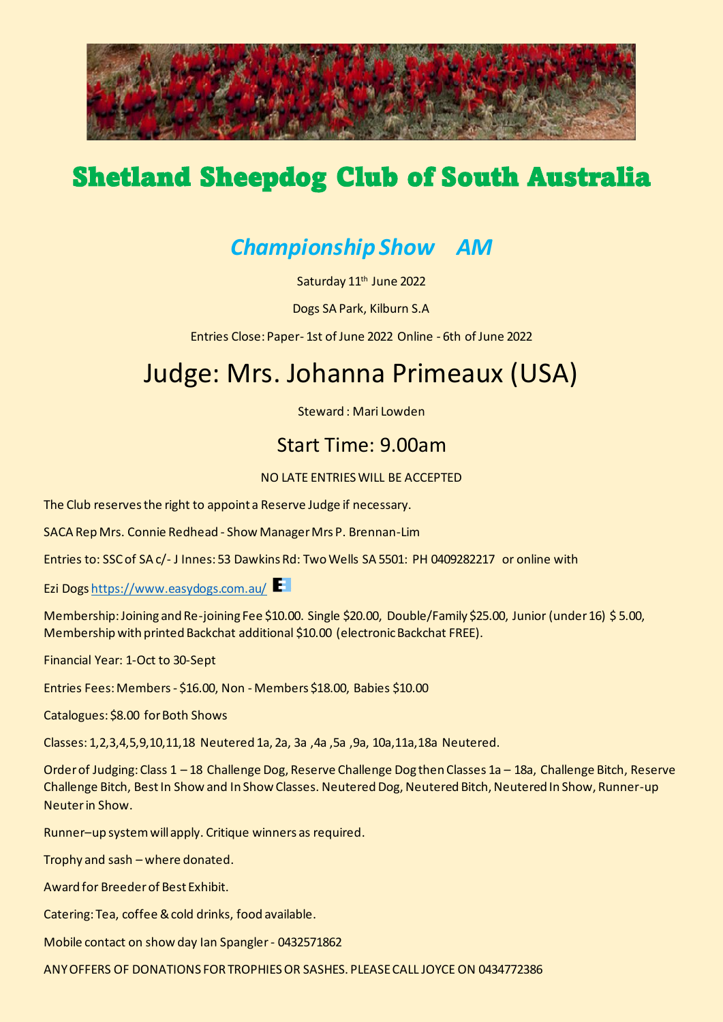

# Shetland Sheepdog Club of South Australia

### *Championship Show AM*

Saturday 11<sup>th</sup> June 2022

Dogs SA Park, Kilburn S.A

Entries Close: Paper- 1st of June 2022 Online - 6th of June 2022

# Judge: Mrs. Johanna Primeaux (USA)

Steward : Mari Lowden

#### Start Time: 9.00am

#### NO LATE ENTRIES WILL BE ACCEPTED

The Club reserves the right to appoint a Reserve Judge if necessary.

SACA Rep Mrs. Connie Redhead - Show Manager Mrs P. Brennan-Lim

Entries to: SSC of SA c/- J Innes: 53 Dawkins Rd: Two Wells SA 5501: PH 0409282217 or online with

Ezi Dog[s https://www.easydogs.com.au/](https://www.easydogs.com.au/)

Membership: Joining and Re-joining Fee \$10.00. Single \$20.00, Double/Family \$25.00, Junior (under 16) \$ 5.00, Membership with printed Backchat additional \$10.00 (electronic Backchat FREE).

Financial Year: 1-Oct to 30-Sept

Entries Fees: Members - \$16.00, Non - Members \$18.00, Babies \$10.00

Catalogues: \$8.00 for Both Shows

Classes: 1,2,3,4,5,9,10,11,18 Neutered 1a, 2a, 3a ,4a ,5a ,9a, 10a,11a,18a Neutered.

Order of Judging: Class 1 – 18 Challenge Dog, Reserve Challenge Dog then Classes 1a – 18a, Challenge Bitch, Reserve Challenge Bitch, Best In Show and In Show Classes. Neutered Dog, Neutered Bitch, Neutered In Show, Runner-up Neuter in Show.

Runner–up system will apply. Critique winners as required.

Trophy and sash – where donated.

Award for Breeder of Best Exhibit.

Catering: Tea, coffee & cold drinks, food available.

Mobile contact on show day Ian Spangler - 0432571862

ANY OFFERS OF DONATIONS FOR TROPHIES OR SASHES. PLEASE CALL JOYCE ON 0434772386